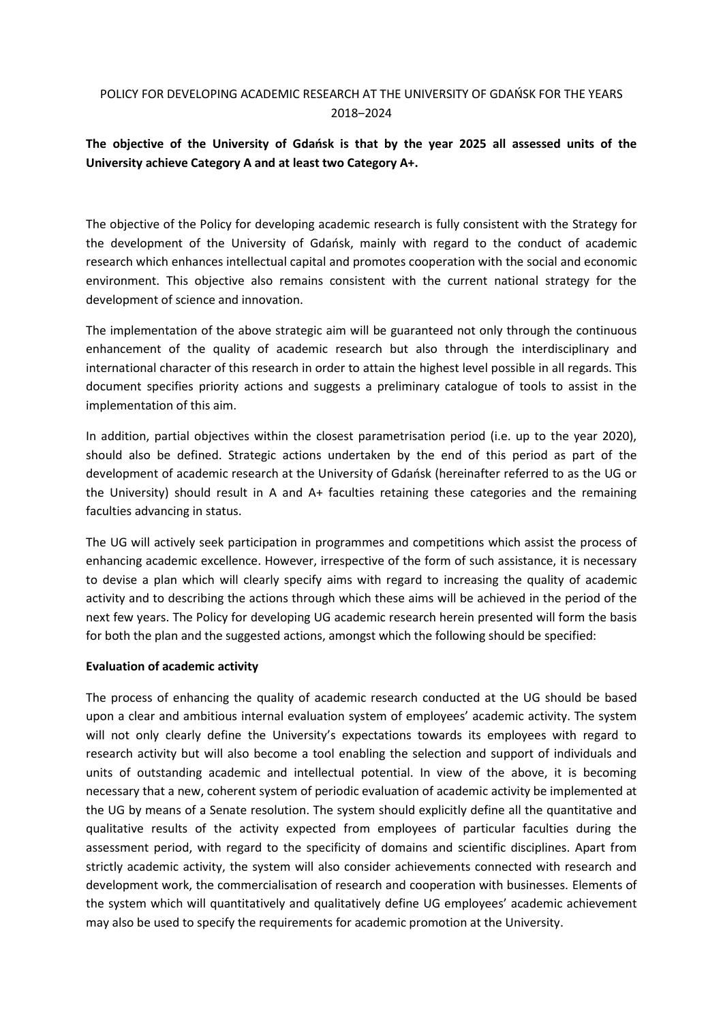## POLICY FOR DEVELOPING ACADEMIC RESEARCH AT THE UNIVERSITY OF GDAŃSK FOR THE YEARS 2018‒2024

# **The objective of the University of Gdańsk is that by the year 2025 all assessed units of the University achieve Category A and at least two Category A+.**

The objective of the Policy for developing academic research is fully consistent with the Strategy for the development of the University of Gdańsk, mainly with regard to the conduct of academic research which enhances intellectual capital and promotes cooperation with the social and economic environment. This objective also remains consistent with the current national strategy for the development of science and innovation.

The implementation of the above strategic aim will be guaranteed not only through the continuous enhancement of the quality of academic research but also through the interdisciplinary and international character of this research in order to attain the highest level possible in all regards. This document specifies priority actions and suggests a preliminary catalogue of tools to assist in the implementation of this aim.

In addition, partial objectives within the closest parametrisation period (i.e. up to the year 2020), should also be defined. Strategic actions undertaken by the end of this period as part of the development of academic research at the University of Gdańsk (hereinafter referred to as the UG or the University) should result in A and A+ faculties retaining these categories and the remaining faculties advancing in status.

The UG will actively seek participation in programmes and competitions which assist the process of enhancing academic excellence. However, irrespective of the form of such assistance, it is necessary to devise a plan which will clearly specify aims with regard to increasing the quality of academic activity and to describing the actions through which these aims will be achieved in the period of the next few years. The Policy for developing UG academic research herein presented will form the basis for both the plan and the suggested actions, amongst which the following should be specified:

### **Evaluation of academic activity**

The process of enhancing the quality of academic research conducted at the UG should be based upon a clear and ambitious internal evaluation system of employees' academic activity. The system will not only clearly define the University's expectations towards its employees with regard to research activity but will also become a tool enabling the selection and support of individuals and units of outstanding academic and intellectual potential. In view of the above, it is becoming necessary that a new, coherent system of periodic evaluation of academic activity be implemented at the UG by means of a Senate resolution. The system should explicitly define all the quantitative and qualitative results of the activity expected from employees of particular faculties during the assessment period, with regard to the specificity of domains and scientific disciplines. Apart from strictly academic activity, the system will also consider achievements connected with research and development work, the commercialisation of research and cooperation with businesses. Elements of the system which will quantitatively and qualitatively define UG employees' academic achievement may also be used to specify the requirements for academic promotion at the University.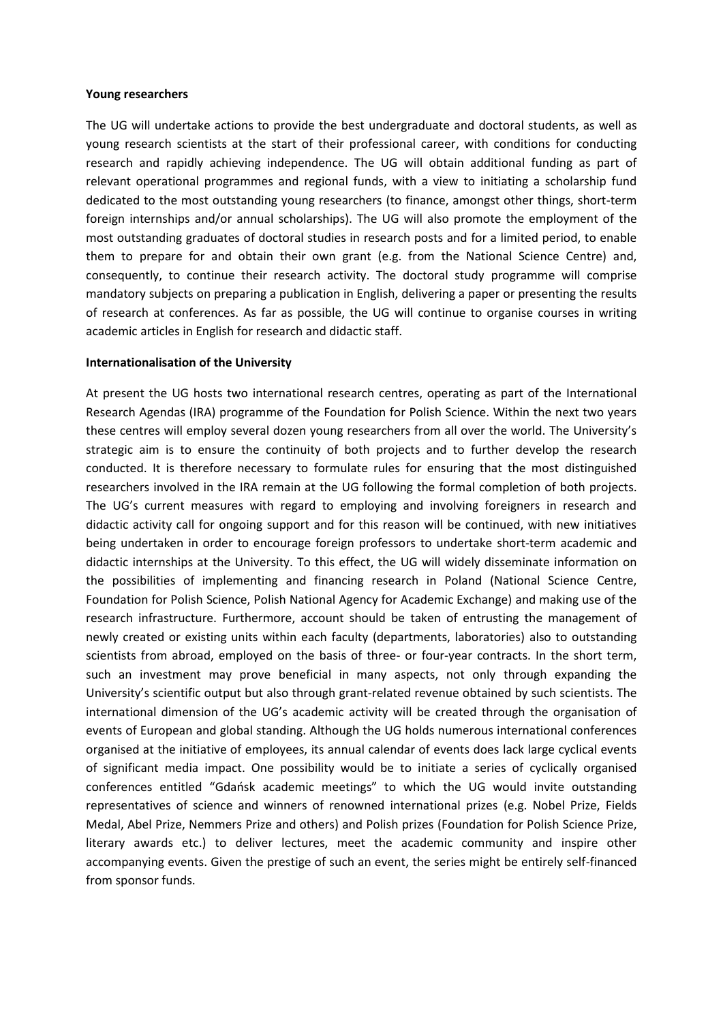#### **Young researchers**

The UG will undertake actions to provide the best undergraduate and doctoral students, as well as young research scientists at the start of their professional career, with conditions for conducting research and rapidly achieving independence. The UG will obtain additional funding as part of relevant operational programmes and regional funds, with a view to initiating a scholarship fund dedicated to the most outstanding young researchers (to finance, amongst other things, short-term foreign internships and/or annual scholarships). The UG will also promote the employment of the most outstanding graduates of doctoral studies in research posts and for a limited period, to enable them to prepare for and obtain their own grant (e.g. from the National Science Centre) and, consequently, to continue their research activity. The doctoral study programme will comprise mandatory subjects on preparing a publication in English, delivering a paper or presenting the results of research at conferences. As far as possible, the UG will continue to organise courses in writing academic articles in English for research and didactic staff.

#### **Internationalisation of the University**

At present the UG hosts two international research centres, operating as part of the International Research Agendas (IRA) programme of the Foundation for Polish Science. Within the next two years these centres will employ several dozen young researchers from all over the world. The University's strategic aim is to ensure the continuity of both projects and to further develop the research conducted. It is therefore necessary to formulate rules for ensuring that the most distinguished researchers involved in the IRA remain at the UG following the formal completion of both projects. The UG's current measures with regard to employing and involving foreigners in research and didactic activity call for ongoing support and for this reason will be continued, with new initiatives being undertaken in order to encourage foreign professors to undertake short-term academic and didactic internships at the University. To this effect, the UG will widely disseminate information on the possibilities of implementing and financing research in Poland (National Science Centre, Foundation for Polish Science, Polish National Agency for Academic Exchange) and making use of the research infrastructure. Furthermore, account should be taken of entrusting the management of newly created or existing units within each faculty (departments, laboratories) also to outstanding scientists from abroad, employed on the basis of three- or four-year contracts. In the short term, such an investment may prove beneficial in many aspects, not only through expanding the University's scientific output but also through grant-related revenue obtained by such scientists. The international dimension of the UG's academic activity will be created through the organisation of events of European and global standing. Although the UG holds numerous international conferences organised at the initiative of employees, its annual calendar of events does lack large cyclical events of significant media impact. One possibility would be to initiate a series of cyclically organised conferences entitled "Gdańsk academic meetings" to which the UG would invite outstanding representatives of science and winners of renowned international prizes (e.g. Nobel Prize, Fields Medal, Abel Prize, Nemmers Prize and others) and Polish prizes (Foundation for Polish Science Prize, literary awards etc.) to deliver lectures, meet the academic community and inspire other accompanying events. Given the prestige of such an event, the series might be entirely self-financed from sponsor funds.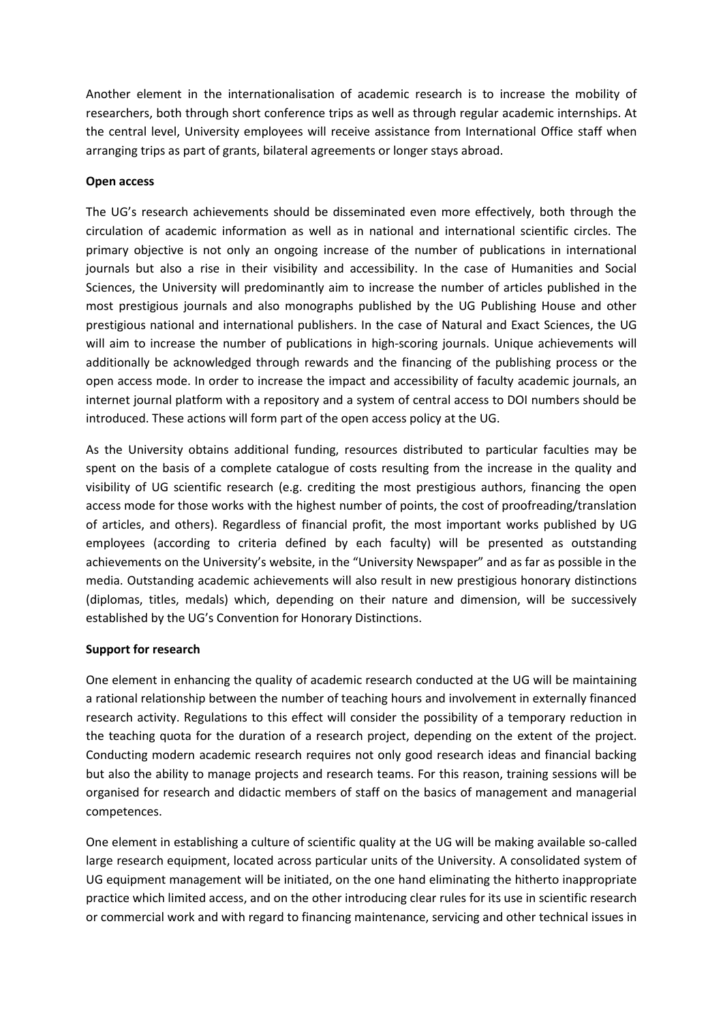Another element in the internationalisation of academic research is to increase the mobility of researchers, both through short conference trips as well as through regular academic internships. At the central level, University employees will receive assistance from International Office staff when arranging trips as part of grants, bilateral agreements or longer stays abroad.

### **Open access**

The UG's research achievements should be disseminated even more effectively, both through the circulation of academic information as well as in national and international scientific circles. The primary objective is not only an ongoing increase of the number of publications in international journals but also a rise in their visibility and accessibility. In the case of Humanities and Social Sciences, the University will predominantly aim to increase the number of articles published in the most prestigious journals and also monographs published by the UG Publishing House and other prestigious national and international publishers. In the case of Natural and Exact Sciences, the UG will aim to increase the number of publications in high-scoring journals. Unique achievements will additionally be acknowledged through rewards and the financing of the publishing process or the open access mode. In order to increase the impact and accessibility of faculty academic journals, an internet journal platform with a repository and a system of central access to DOI numbers should be introduced. These actions will form part of the open access policy at the UG.

As the University obtains additional funding, resources distributed to particular faculties may be spent on the basis of a complete catalogue of costs resulting from the increase in the quality and visibility of UG scientific research (e.g. crediting the most prestigious authors, financing the open access mode for those works with the highest number of points, the cost of proofreading/translation of articles, and others). Regardless of financial profit, the most important works published by UG employees (according to criteria defined by each faculty) will be presented as outstanding achievements on the University's website, in the "University Newspaper" and as far as possible in the media. Outstanding academic achievements will also result in new prestigious honorary distinctions (diplomas, titles, medals) which, depending on their nature and dimension, will be successively established by the UG's Convention for Honorary Distinctions.

## **Support for research**

One element in enhancing the quality of academic research conducted at the UG will be maintaining a rational relationship between the number of teaching hours and involvement in externally financed research activity. Regulations to this effect will consider the possibility of a temporary reduction in the teaching quota for the duration of a research project, depending on the extent of the project. Conducting modern academic research requires not only good research ideas and financial backing but also the ability to manage projects and research teams. For this reason, training sessions will be organised for research and didactic members of staff on the basics of management and managerial competences.

One element in establishing a culture of scientific quality at the UG will be making available so-called large research equipment, located across particular units of the University. A consolidated system of UG equipment management will be initiated, on the one hand eliminating the hitherto inappropriate practice which limited access, and on the other introducing clear rules for its use in scientific research or commercial work and with regard to financing maintenance, servicing and other technical issues in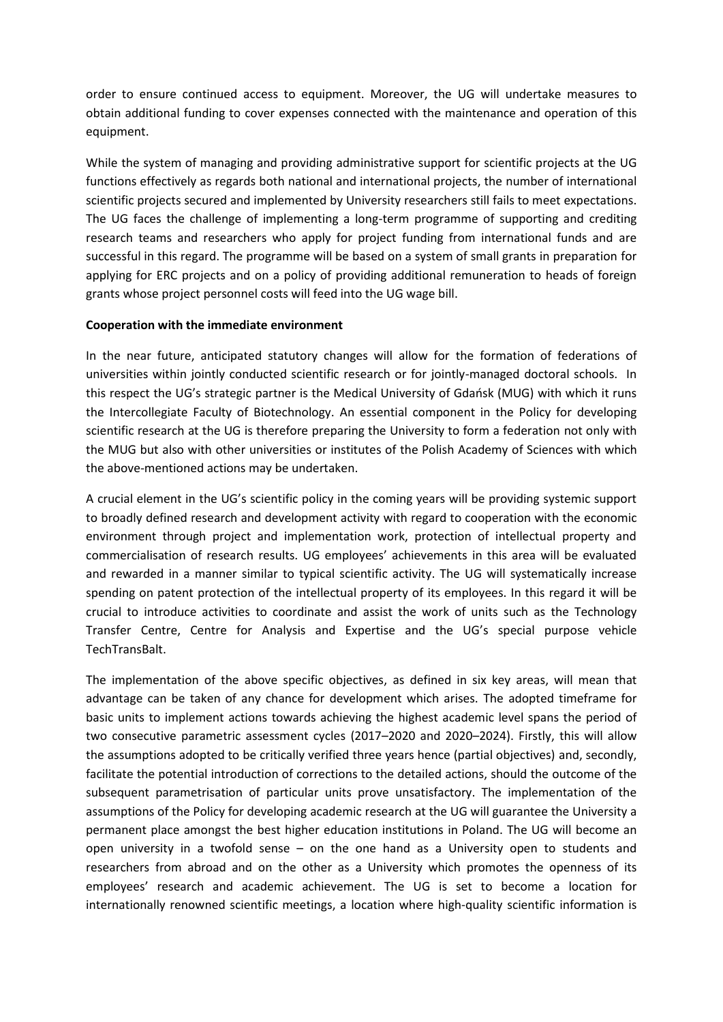order to ensure continued access to equipment. Moreover, the UG will undertake measures to obtain additional funding to cover expenses connected with the maintenance and operation of this equipment.

While the system of managing and providing administrative support for scientific projects at the UG functions effectively as regards both national and international projects, the number of international scientific projects secured and implemented by University researchers still fails to meet expectations. The UG faces the challenge of implementing a long-term programme of supporting and crediting research teams and researchers who apply for project funding from international funds and are successful in this regard. The programme will be based on a system of small grants in preparation for applying for ERC projects and on a policy of providing additional remuneration to heads of foreign grants whose project personnel costs will feed into the UG wage bill.

### **Cooperation with the immediate environment**

In the near future, anticipated statutory changes will allow for the formation of federations of universities within jointly conducted scientific research or for jointly-managed doctoral schools. In this respect the UG's strategic partner is the Medical University of Gdańsk (MUG) with which it runs the Intercollegiate Faculty of Biotechnology. An essential component in the Policy for developing scientific research at the UG is therefore preparing the University to form a federation not only with the MUG but also with other universities or institutes of the Polish Academy of Sciences with which the above-mentioned actions may be undertaken.

A crucial element in the UG's scientific policy in the coming years will be providing systemic support to broadly defined research and development activity with regard to cooperation with the economic environment through project and implementation work, protection of intellectual property and commercialisation of research results. UG employees' achievements in this area will be evaluated and rewarded in a manner similar to typical scientific activity. The UG will systematically increase spending on patent protection of the intellectual property of its employees. In this regard it will be crucial to introduce activities to coordinate and assist the work of units such as the Technology Transfer Centre, Centre for Analysis and Expertise and the UG's special purpose vehicle TechTransBalt.

The implementation of the above specific objectives, as defined in six key areas, will mean that advantage can be taken of any chance for development which arises. The adopted timeframe for basic units to implement actions towards achieving the highest academic level spans the period of two consecutive parametric assessment cycles (2017–2020 and 2020–2024). Firstly, this will allow the assumptions adopted to be critically verified three years hence (partial objectives) and, secondly, facilitate the potential introduction of corrections to the detailed actions, should the outcome of the subsequent parametrisation of particular units prove unsatisfactory. The implementation of the assumptions of the Policy for developing academic research at the UG will guarantee the University a permanent place amongst the best higher education institutions in Poland. The UG will become an open university in a twofold sense – on the one hand as a University open to students and researchers from abroad and on the other as a University which promotes the openness of its employees' research and academic achievement. The UG is set to become a location for internationally renowned scientific meetings, a location where high-quality scientific information is